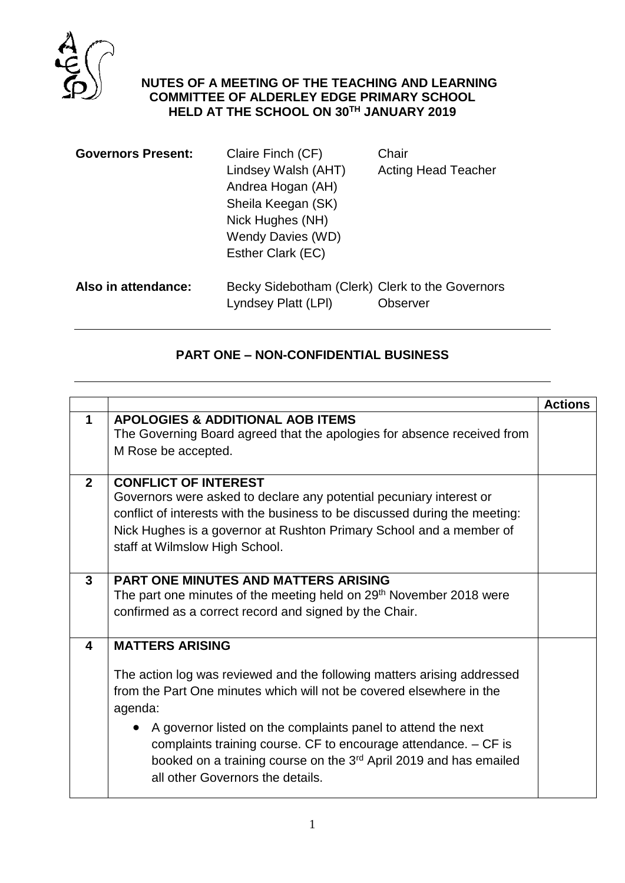

## **MINUTES OF A MEETING OF THE TEACHING AND LEARNING COMMITTEE OF ALDERLEY EDGE PRIMARY SCHOOL HELD AT THE SCHOOL ON 30TH JANUARY 2019**

| <b>Governors Present:</b> | Claire Finch (CF)                               | Chair                      |
|---------------------------|-------------------------------------------------|----------------------------|
|                           | Lindsey Walsh (AHT)                             | <b>Acting Head Teacher</b> |
|                           | Andrea Hogan (AH)                               |                            |
|                           | Sheila Keegan (SK)                              |                            |
|                           | Nick Hughes (NH)                                |                            |
|                           | Wendy Davies (WD)                               |                            |
|                           | Esther Clark (EC)                               |                            |
| Also in attendance:       | Becky Sidebotham (Clerk) Clerk to the Governors |                            |
|                           | Lyndsey Platt (LPI)                             | Observer                   |

## **PART ONE – NON-CONFIDENTIAL BUSINESS**

|                |                                                                                 | <b>Actions</b> |
|----------------|---------------------------------------------------------------------------------|----------------|
| 1              | <b>APOLOGIES &amp; ADDITIONAL AOB ITEMS</b>                                     |                |
|                | The Governing Board agreed that the apologies for absence received from         |                |
|                |                                                                                 |                |
|                | M Rose be accepted.                                                             |                |
|                |                                                                                 |                |
| $\overline{2}$ | <b>CONFLICT OF INTEREST</b>                                                     |                |
|                | Governors were asked to declare any potential pecuniary interest or             |                |
|                | conflict of interests with the business to be discussed during the meeting:     |                |
|                | Nick Hughes is a governor at Rushton Primary School and a member of             |                |
|                | staff at Wilmslow High School.                                                  |                |
|                |                                                                                 |                |
|                | <b>PART ONE MINUTES AND MATTERS ARISING</b>                                     |                |
| $\mathbf{3}$   |                                                                                 |                |
|                | The part one minutes of the meeting held on 29 <sup>th</sup> November 2018 were |                |
|                | confirmed as a correct record and signed by the Chair.                          |                |
|                |                                                                                 |                |
| 4              | <b>MATTERS ARISING</b>                                                          |                |
|                |                                                                                 |                |
|                | The action log was reviewed and the following matters arising addressed         |                |
|                | from the Part One minutes which will not be covered elsewhere in the            |                |
|                | agenda:                                                                         |                |
|                |                                                                                 |                |
|                | • A governor listed on the complaints panel to attend the next                  |                |
|                | complaints training course. CF to encourage attendance. $-$ CF is               |                |
|                | booked on a training course on the 3rd April 2019 and has emailed               |                |
|                | all other Governors the details.                                                |                |
|                |                                                                                 |                |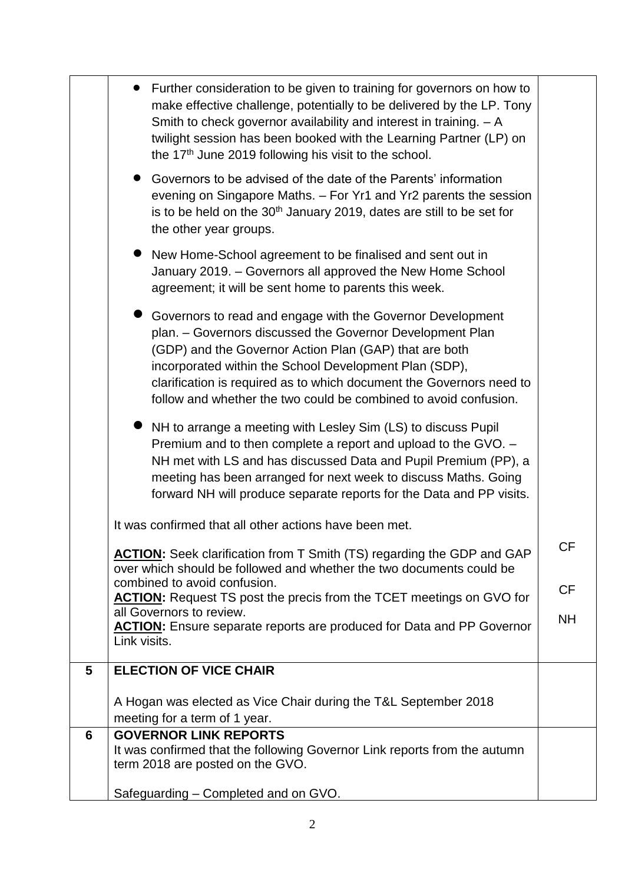|   | Further consideration to be given to training for governors on how to<br>make effective challenge, potentially to be delivered by the LP. Tony<br>Smith to check governor availability and interest in training. $- A$<br>twilight session has been booked with the Learning Partner (LP) on<br>the 17 <sup>th</sup> June 2019 following his visit to the school.                       |           |
|---|-----------------------------------------------------------------------------------------------------------------------------------------------------------------------------------------------------------------------------------------------------------------------------------------------------------------------------------------------------------------------------------------|-----------|
|   | • Governors to be advised of the date of the Parents' information<br>evening on Singapore Maths. - For Yr1 and Yr2 parents the session<br>is to be held on the 30 <sup>th</sup> January 2019, dates are still to be set for<br>the other year groups.                                                                                                                                   |           |
|   | • New Home-School agreement to be finalised and sent out in<br>January 2019. - Governors all approved the New Home School<br>agreement; it will be sent home to parents this week.                                                                                                                                                                                                      |           |
|   | Governors to read and engage with the Governor Development<br>plan. - Governors discussed the Governor Development Plan<br>(GDP) and the Governor Action Plan (GAP) that are both<br>incorporated within the School Development Plan (SDP),<br>clarification is required as to which document the Governors need to<br>follow and whether the two could be combined to avoid confusion. |           |
|   | NH to arrange a meeting with Lesley Sim (LS) to discuss Pupil<br>Premium and to then complete a report and upload to the GVO. -<br>NH met with LS and has discussed Data and Pupil Premium (PP), a<br>meeting has been arranged for next week to discuss Maths. Going<br>forward NH will produce separate reports for the Data and PP visits.                                           |           |
|   | It was confirmed that all other actions have been met.                                                                                                                                                                                                                                                                                                                                  |           |
|   | <b>ACTION:</b> Seek clarification from T Smith (TS) regarding the GDP and GAP<br>over which should be followed and whether the two documents could be                                                                                                                                                                                                                                   | <b>CF</b> |
|   | combined to avoid confusion.<br><b>ACTION:</b> Request TS post the precis from the TCET meetings on GVO for                                                                                                                                                                                                                                                                             | <b>CF</b> |
|   | all Governors to review.<br><b>ACTION:</b> Ensure separate reports are produced for Data and PP Governor<br>Link visits.                                                                                                                                                                                                                                                                | <b>NH</b> |
| 5 | <b>ELECTION OF VICE CHAIR</b>                                                                                                                                                                                                                                                                                                                                                           |           |
|   | A Hogan was elected as Vice Chair during the T&L September 2018<br>meeting for a term of 1 year.                                                                                                                                                                                                                                                                                        |           |
| 6 | <b>GOVERNOR LINK REPORTS</b><br>It was confirmed that the following Governor Link reports from the autumn<br>term 2018 are posted on the GVO.                                                                                                                                                                                                                                           |           |
|   | Safeguarding - Completed and on GVO.                                                                                                                                                                                                                                                                                                                                                    |           |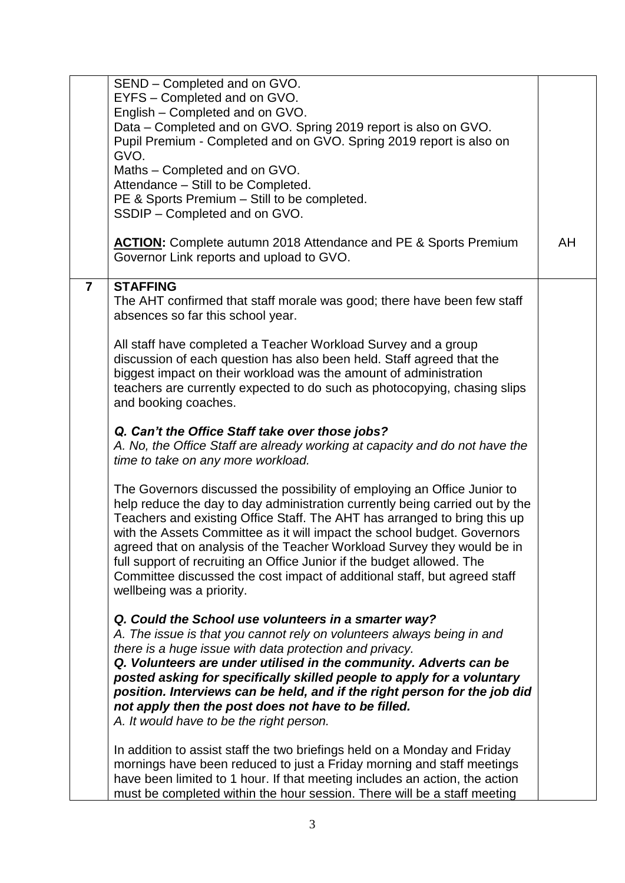|                | SEND - Completed and on GVO.                                                                       |    |
|----------------|----------------------------------------------------------------------------------------------------|----|
|                | EYFS - Completed and on GVO.                                                                       |    |
|                | English - Completed and on GVO.<br>Data - Completed and on GVO. Spring 2019 report is also on GVO. |    |
|                | Pupil Premium - Completed and on GVO. Spring 2019 report is also on                                |    |
|                | GVO.                                                                                               |    |
|                | Maths - Completed and on GVO.                                                                      |    |
|                | Attendance - Still to be Completed.                                                                |    |
|                | PE & Sports Premium - Still to be completed.                                                       |    |
|                | SSDIP - Completed and on GVO.                                                                      |    |
|                |                                                                                                    |    |
|                | <b>ACTION:</b> Complete autumn 2018 Attendance and PE & Sports Premium                             | AH |
|                | Governor Link reports and upload to GVO.                                                           |    |
|                |                                                                                                    |    |
| $\overline{7}$ | <b>STAFFING</b>                                                                                    |    |
|                | The AHT confirmed that staff morale was good; there have been few staff                            |    |
|                | absences so far this school year.                                                                  |    |
|                |                                                                                                    |    |
|                | All staff have completed a Teacher Workload Survey and a group                                     |    |
|                | discussion of each question has also been held. Staff agreed that the                              |    |
|                | biggest impact on their workload was the amount of administration                                  |    |
|                | teachers are currently expected to do such as photocopying, chasing slips                          |    |
|                | and booking coaches.                                                                               |    |
|                |                                                                                                    |    |
|                | Q. Can't the Office Staff take over those jobs?                                                    |    |
|                | A. No, the Office Staff are already working at capacity and do not have the                        |    |
|                | time to take on any more workload.                                                                 |    |
|                |                                                                                                    |    |
|                | The Governors discussed the possibility of employing an Office Junior to                           |    |
|                | help reduce the day to day administration currently being carried out by the                       |    |
|                | Teachers and existing Office Staff. The AHT has arranged to bring this up                          |    |
|                | with the Assets Committee as it will impact the school budget. Governors                           |    |
|                | agreed that on analysis of the Teacher Workload Survey they would be in                            |    |
|                | full support of recruiting an Office Junior if the budget allowed. The                             |    |
|                | Committee discussed the cost impact of additional staff, but agreed staff                          |    |
|                | wellbeing was a priority.                                                                          |    |
|                |                                                                                                    |    |
|                | Q. Could the School use volunteers in a smarter way?                                               |    |
|                | A. The issue is that you cannot rely on volunteers always being in and                             |    |
|                | there is a huge issue with data protection and privacy.                                            |    |
|                | Q. Volunteers are under utilised in the community. Adverts can be                                  |    |
|                | posted asking for specifically skilled people to apply for a voluntary                             |    |
|                | position. Interviews can be held, and if the right person for the job did                          |    |
|                | not apply then the post does not have to be filled.                                                |    |
|                | A. It would have to be the right person.                                                           |    |
|                | In addition to assist staff the two briefings held on a Monday and Friday                          |    |
|                | mornings have been reduced to just a Friday morning and staff meetings                             |    |
|                | have been limited to 1 hour. If that meeting includes an action, the action                        |    |
|                | must be completed within the hour session. There will be a staff meeting                           |    |
|                |                                                                                                    |    |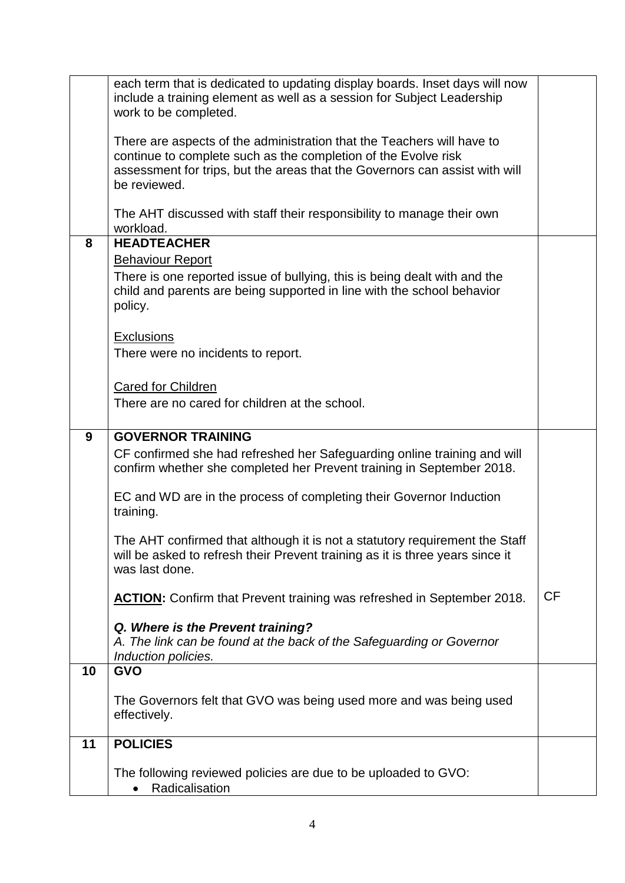|    | each term that is dedicated to updating display boards. Inset days will now                               |           |
|----|-----------------------------------------------------------------------------------------------------------|-----------|
|    | include a training element as well as a session for Subject Leadership                                    |           |
|    | work to be completed.                                                                                     |           |
|    |                                                                                                           |           |
|    | There are aspects of the administration that the Teachers will have to                                    |           |
|    | continue to complete such as the completion of the Evolve risk                                            |           |
|    | assessment for trips, but the areas that the Governors can assist with will                               |           |
|    | be reviewed.                                                                                              |           |
|    |                                                                                                           |           |
|    | The AHT discussed with staff their responsibility to manage their own                                     |           |
|    | workload.                                                                                                 |           |
| 8  | <b>HEADTEACHER</b>                                                                                        |           |
|    | <b>Behaviour Report</b>                                                                                   |           |
|    | There is one reported issue of bullying, this is being dealt with and the                                 |           |
|    | child and parents are being supported in line with the school behavior                                    |           |
|    | policy.                                                                                                   |           |
|    |                                                                                                           |           |
|    | <b>Exclusions</b>                                                                                         |           |
|    | There were no incidents to report.                                                                        |           |
|    |                                                                                                           |           |
|    | <b>Cared for Children</b>                                                                                 |           |
|    | There are no cared for children at the school.                                                            |           |
|    |                                                                                                           |           |
| 9  | <b>GOVERNOR TRAINING</b>                                                                                  |           |
|    | CF confirmed she had refreshed her Safeguarding online training and will                                  |           |
|    | confirm whether she completed her Prevent training in September 2018.                                     |           |
|    |                                                                                                           |           |
|    | EC and WD are in the process of completing their Governor Induction                                       |           |
|    | training.                                                                                                 |           |
|    |                                                                                                           |           |
|    | The AHT confirmed that although it is not a statutory requirement the Staff                               |           |
|    | will be asked to refresh their Prevent training as it is three years since it                             |           |
|    | was last done.                                                                                            |           |
|    |                                                                                                           |           |
|    | <b>ACTION:</b> Confirm that Prevent training was refreshed in September 2018.                             | <b>CF</b> |
|    |                                                                                                           |           |
|    | Q. Where is the Prevent training?<br>A. The link can be found at the back of the Safeguarding or Governor |           |
|    | Induction policies.                                                                                       |           |
| 10 | <b>GVO</b>                                                                                                |           |
|    |                                                                                                           |           |
|    | The Governors felt that GVO was being used more and was being used                                        |           |
|    | effectively.                                                                                              |           |
|    |                                                                                                           |           |
| 11 | <b>POLICIES</b>                                                                                           |           |
|    |                                                                                                           |           |
|    | The following reviewed policies are due to be uploaded to GVO:                                            |           |
|    | Radicalisation                                                                                            |           |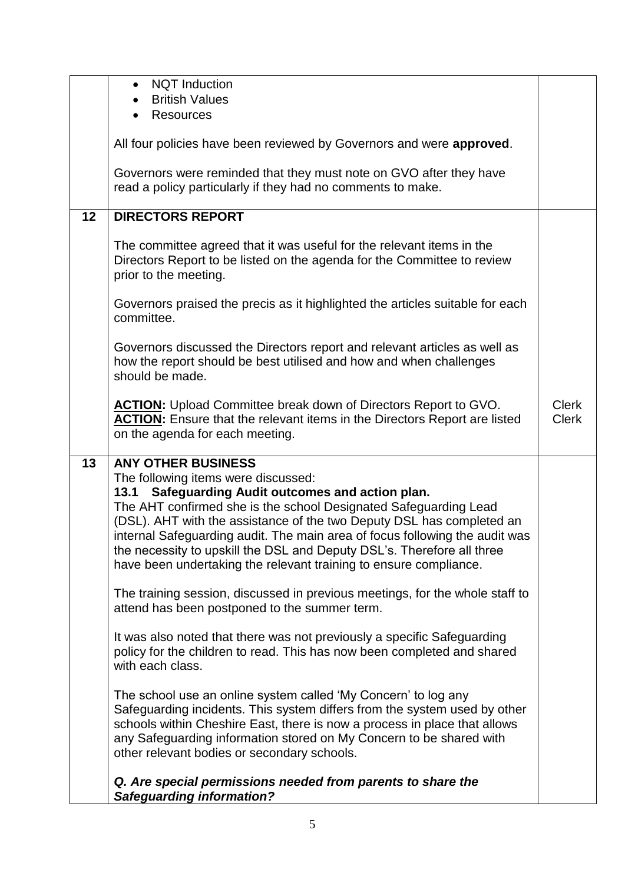|    | <b>NQT</b> Induction<br>$\bullet$<br><b>British Values</b>                                                                                                                                                                                                                                                                                                                                                                                                             |                              |
|----|------------------------------------------------------------------------------------------------------------------------------------------------------------------------------------------------------------------------------------------------------------------------------------------------------------------------------------------------------------------------------------------------------------------------------------------------------------------------|------------------------------|
|    | <b>Resources</b>                                                                                                                                                                                                                                                                                                                                                                                                                                                       |                              |
|    | All four policies have been reviewed by Governors and were approved.                                                                                                                                                                                                                                                                                                                                                                                                   |                              |
|    | Governors were reminded that they must note on GVO after they have<br>read a policy particularly if they had no comments to make.                                                                                                                                                                                                                                                                                                                                      |                              |
| 12 | <b>DIRECTORS REPORT</b>                                                                                                                                                                                                                                                                                                                                                                                                                                                |                              |
|    | The committee agreed that it was useful for the relevant items in the<br>Directors Report to be listed on the agenda for the Committee to review<br>prior to the meeting.                                                                                                                                                                                                                                                                                              |                              |
|    | Governors praised the precis as it highlighted the articles suitable for each<br>committee.                                                                                                                                                                                                                                                                                                                                                                            |                              |
|    | Governors discussed the Directors report and relevant articles as well as<br>how the report should be best utilised and how and when challenges<br>should be made.                                                                                                                                                                                                                                                                                                     |                              |
|    | <b>ACTION:</b> Upload Committee break down of Directors Report to GVO.<br><b>ACTION:</b> Ensure that the relevant items in the Directors Report are listed<br>on the agenda for each meeting.                                                                                                                                                                                                                                                                          | <b>Clerk</b><br><b>Clerk</b> |
| 13 | <b>ANY OTHER BUSINESS</b>                                                                                                                                                                                                                                                                                                                                                                                                                                              |                              |
|    | The following items were discussed:<br>Safeguarding Audit outcomes and action plan.<br>13.1<br>The AHT confirmed she is the school Designated Safeguarding Lead<br>(DSL). AHT with the assistance of the two Deputy DSL has completed an<br>internal Safeguarding audit. The main area of focus following the audit was<br>the necessity to upskill the DSL and Deputy DSL's. Therefore all three<br>have been undertaking the relevant training to ensure compliance. |                              |
|    | The training session, discussed in previous meetings, for the whole staff to<br>attend has been postponed to the summer term.                                                                                                                                                                                                                                                                                                                                          |                              |
|    | It was also noted that there was not previously a specific Safeguarding<br>policy for the children to read. This has now been completed and shared<br>with each class.                                                                                                                                                                                                                                                                                                 |                              |
|    | The school use an online system called 'My Concern' to log any<br>Safeguarding incidents. This system differs from the system used by other<br>schools within Cheshire East, there is now a process in place that allows<br>any Safeguarding information stored on My Concern to be shared with<br>other relevant bodies or secondary schools.                                                                                                                         |                              |
|    | Q. Are special permissions needed from parents to share the<br><b>Safeguarding information?</b>                                                                                                                                                                                                                                                                                                                                                                        |                              |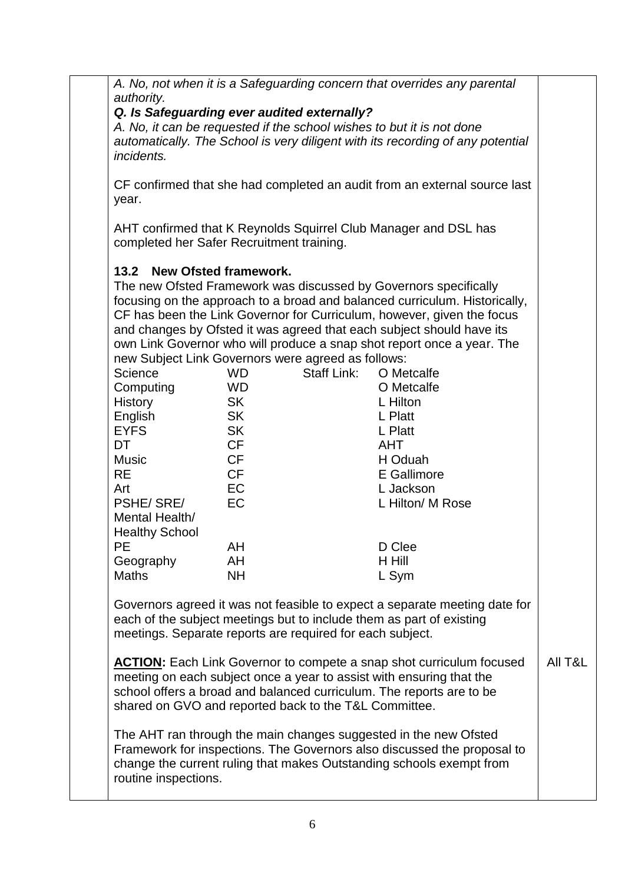*A. No, not when it is a Safeguarding concern that overrides any parental authority.*

## *Q. Is Safeguarding ever audited externally?*

*A. No, it can be requested if the school wishes to but it is not done automatically. The School is very diligent with its recording of any potential incidents.* 

CF confirmed that she had completed an audit from an external source last year.

AHT confirmed that K Reynolds Squirrel Club Manager and DSL has completed her Safer Recruitment training.

## **13.2 New Ofsted framework.**

The new Ofsted Framework was discussed by Governors specifically focusing on the approach to a broad and balanced curriculum. Historically, CF has been the Link Governor for Curriculum, however, given the focus and changes by Ofsted it was agreed that each subject should have its own Link Governor who will produce a snap shot report once a year. The new Subject Link Governors were agreed as follows:

| <b>TIOW OUDJOUL LITTIN OUVOITIONS WORD AGROUGH AS TOINOWS.</b> |           |                    |                  |  |
|----------------------------------------------------------------|-----------|--------------------|------------------|--|
| Science                                                        | WD.       | <b>Staff Link:</b> | O Metcalfe       |  |
| Computing                                                      | WD.       |                    | O Metcalfe       |  |
| History                                                        | <b>SK</b> |                    | L Hilton         |  |
| English                                                        | <b>SK</b> |                    | L Platt          |  |
| <b>EYFS</b>                                                    | <b>SK</b> |                    | L Platt          |  |
| DT                                                             | <b>CF</b> |                    | AHT              |  |
| <b>Music</b>                                                   | <b>CF</b> |                    | H Oduah          |  |
| RE.                                                            | <b>CF</b> |                    | E Gallimore      |  |
| Art                                                            | EC        |                    | L Jackson        |  |
| <b>PSHE/SRE/</b>                                               | <b>EC</b> |                    | L Hilton/ M Rose |  |
| Mental Health/                                                 |           |                    |                  |  |
| <b>Healthy School</b>                                          |           |                    |                  |  |
| <b>PE</b>                                                      | AH        |                    | D Clee           |  |
| Geography                                                      | AH        |                    | H Hill           |  |
| <b>Maths</b>                                                   | NΗ        |                    | L Sym            |  |

Governors agreed it was not feasible to expect a separate meeting date for each of the subject meetings but to include them as part of existing meetings. Separate reports are required for each subject.

**ACTION:** Each Link Governor to compete a snap shot curriculum focused meeting on each subject once a year to assist with ensuring that the school offers a broad and balanced curriculum. The reports are to be shared on GVO and reported back to the T&L Committee. All T&L

The AHT ran through the main changes suggested in the new Ofsted Framework for inspections. The Governors also discussed the proposal to change the current ruling that makes Outstanding schools exempt from routine inspections.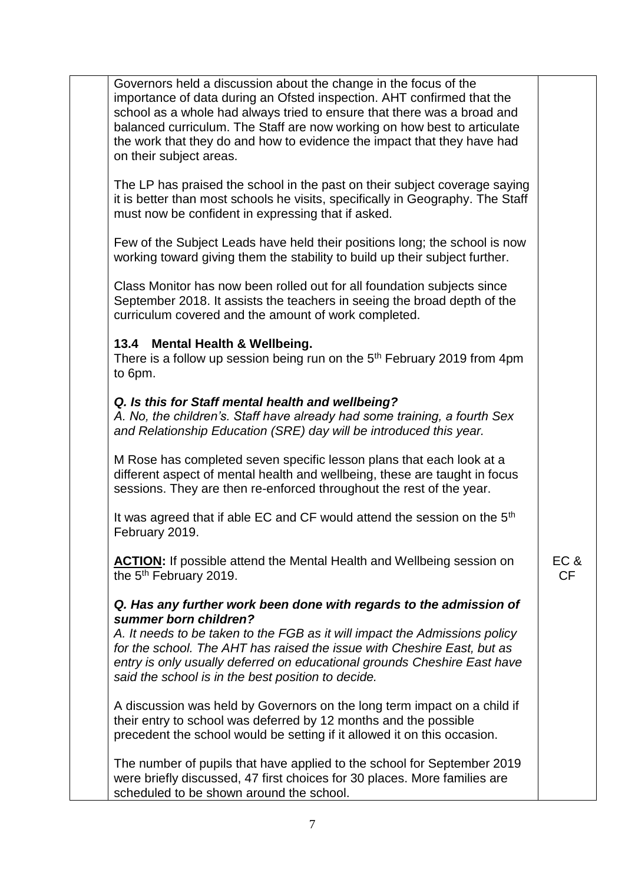| Governors held a discussion about the change in the focus of the<br>importance of data during an Ofsted inspection. AHT confirmed that the<br>school as a whole had always tried to ensure that there was a broad and<br>balanced curriculum. The Staff are now working on how best to articulate<br>the work that they do and how to evidence the impact that they have had<br>on their subject areas. |                   |  |
|---------------------------------------------------------------------------------------------------------------------------------------------------------------------------------------------------------------------------------------------------------------------------------------------------------------------------------------------------------------------------------------------------------|-------------------|--|
| The LP has praised the school in the past on their subject coverage saying<br>it is better than most schools he visits, specifically in Geography. The Staff<br>must now be confident in expressing that if asked.                                                                                                                                                                                      |                   |  |
| Few of the Subject Leads have held their positions long; the school is now<br>working toward giving them the stability to build up their subject further.                                                                                                                                                                                                                                               |                   |  |
| Class Monitor has now been rolled out for all foundation subjects since<br>September 2018. It assists the teachers in seeing the broad depth of the<br>curriculum covered and the amount of work completed.                                                                                                                                                                                             |                   |  |
| 13.4 Mental Health & Wellbeing.<br>There is a follow up session being run on the 5 <sup>th</sup> February 2019 from 4pm<br>to 6pm.                                                                                                                                                                                                                                                                      |                   |  |
| Q. Is this for Staff mental health and wellbeing?<br>A. No, the children's. Staff have already had some training, a fourth Sex<br>and Relationship Education (SRE) day will be introduced this year.                                                                                                                                                                                                    |                   |  |
| M Rose has completed seven specific lesson plans that each look at a<br>different aspect of mental health and wellbeing, these are taught in focus<br>sessions. They are then re-enforced throughout the rest of the year.                                                                                                                                                                              |                   |  |
| It was agreed that if able EC and CF would attend the session on the 5 <sup>th</sup><br>February 2019.                                                                                                                                                                                                                                                                                                  |                   |  |
| <b>ACTION:</b> If possible attend the Mental Health and Wellbeing session on<br>the 5 <sup>th</sup> February 2019.                                                                                                                                                                                                                                                                                      | EC &<br><b>CF</b> |  |
| Q. Has any further work been done with regards to the admission of<br>summer born children?<br>A. It needs to be taken to the FGB as it will impact the Admissions policy<br>for the school. The AHT has raised the issue with Cheshire East, but as<br>entry is only usually deferred on educational grounds Cheshire East have<br>said the school is in the best position to decide.                  |                   |  |

A discussion was held by Governors on the long term impact on a child if their entry to school was deferred by 12 months and the possible precedent the school would be setting if it allowed it on this occasion.

The number of pupils that have applied to the school for September 2019 were briefly discussed, 47 first choices for 30 places. More families are scheduled to be shown around the school.